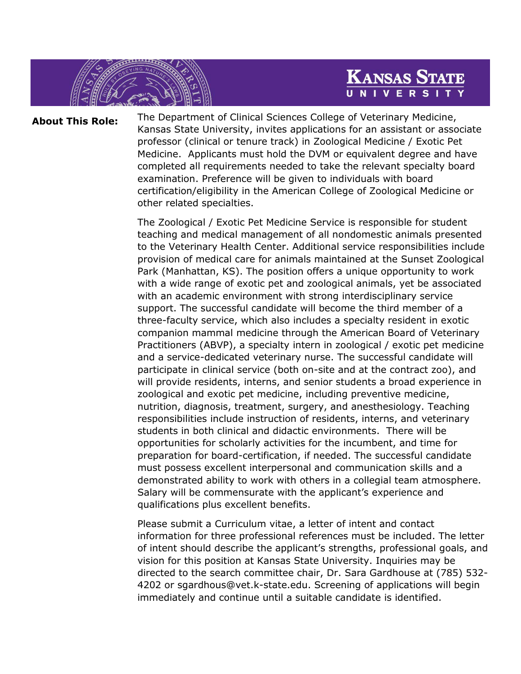## **KANSAS STATE** UNIVERS

**About This Role:** The Department of Clinical Sciences College of Veterinary Medicine, Kansas State University, invites applications for an assistant or associate professor (clinical or tenure track) in Zoological Medicine / Exotic Pet Medicine. Applicants must hold the DVM or equivalent degree and have completed all requirements needed to take the relevant specialty board examination. Preference will be given to individuals with board certification/eligibility in the American College of Zoological Medicine or other related specialties.

> The Zoological / Exotic Pet Medicine Service is responsible for student teaching and medical management of all nondomestic animals presented to the Veterinary Health Center. Additional service responsibilities include provision of medical care for animals maintained at the Sunset Zoological Park (Manhattan, KS). The position offers a unique opportunity to work with a wide range of exotic pet and zoological animals, yet be associated with an academic environment with strong interdisciplinary service support. The successful candidate will become the third member of a three-faculty service, which also includes a specialty resident in exotic companion mammal medicine through the American Board of Veterinary Practitioners (ABVP), a specialty intern in zoological / exotic pet medicine and a service-dedicated veterinary nurse. The successful candidate will participate in clinical service (both on-site and at the contract zoo), and will provide residents, interns, and senior students a broad experience in zoological and exotic pet medicine, including preventive medicine, nutrition, diagnosis, treatment, surgery, and anesthesiology. Teaching responsibilities include instruction of residents, interns, and veterinary students in both clinical and didactic environments. There will be opportunities for scholarly activities for the incumbent, and time for preparation for board-certification, if needed. The successful candidate must possess excellent interpersonal and communication skills and a demonstrated ability to work with others in a collegial team atmosphere. Salary will be commensurate with the applicant's experience and qualifications plus excellent benefits.

> Please submit a Curriculum vitae, a letter of intent and contact information for three professional references must be included. The letter of intent should describe the applicant's strengths, professional goals, and vision for this position at Kansas State University. Inquiries may be directed to the search committee chair, Dr. Sara Gardhouse at (785) 532- 4202 or [sgardhous@vet.k-state.edu.](mailto:deshar@vet.k-state.edu) Screening of applications will begin immediately and continue until a suitable candidate is identified.